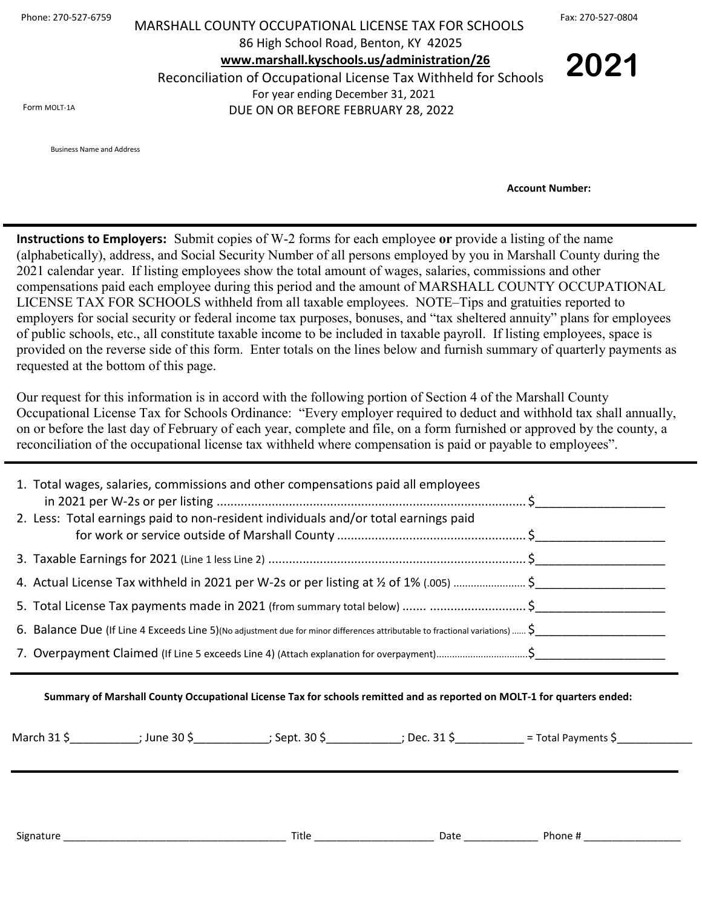| Phone: 270-527-6759 |  |
|---------------------|--|
|---------------------|--|

## Phone: 270-527-6759 MARSHALL COUNTY OCCUPATIONAL LICENSE TAX FOR SCHOOLS Fax: 270-527-0804 86 High School Road, Benton, KY 42025  **[www.marshall.kyschools.us/administration/26](http://www.marshall.kyschools.us/administration/26)** Reconciliation of Occupational License Tax Withheld for Schools For year ending December 31, 2021

DUE ON OR BEFORE FEBRUARY 28, 2022

**2021**

Form MOLT-1A

Business Name and Address

 **Account Number:** 

**Instructions to Employers:** Submit copies of W-2 forms for each employee **or** provide a listing of the name (alphabetically), address, and Social Security Number of all persons employed by you in Marshall County during the 2021 calendar year. If listing employees show the total amount of wages, salaries, commissions and other compensations paid each employee during this period and the amount of MARSHALL COUNTY OCCUPATIONAL LICENSE TAX FOR SCHOOLS withheld from all taxable employees. NOTE–Tips and gratuities reported to employers for social security or federal income tax purposes, bonuses, and "tax sheltered annuity" plans for employees of public schools, etc., all constitute taxable income to be included in taxable payroll. If listing employees, space is provided on the reverse side of this form. Enter totals on the lines below and furnish summary of quarterly payments as requested at the bottom of this page.

Our request for this information is in accord with the following portion of Section 4 of the Marshall County Occupational License Tax for Schools Ordinance: "Every employer required to deduct and withhold tax shall annually, on or before the last day of February of each year, complete and file, on a form furnished or approved by the county, a reconciliation of the occupational license tax withheld where compensation is paid or payable to employees".

| 1. Total wages, salaries, commissions and other compensations paid all employees                                             |  |
|------------------------------------------------------------------------------------------------------------------------------|--|
| 2. Less: Total earnings paid to non-resident individuals and/or total earnings paid                                          |  |
|                                                                                                                              |  |
| 4. Actual License Tax withheld in 2021 per W-2s or per listing at 1/2 of 1% (.005)  \$                                       |  |
|                                                                                                                              |  |
| 6. Balance Due (If Line 4 Exceeds Line 5)(No adjustment due for minor differences attributable to fractional variations)  \$ |  |
| 7. Overpayment Claimed (If Line 5 exceeds Line 4) (Attach explanation for overpayment)\$                                     |  |

**Summary of Marshall County Occupational License Tax for schools remitted and as reported on MOLT-1 for quarters ended:**

| — Marchi | .<br>June<br>יי. | ົາດ<br>Sent<br>כ עב | <u>__</u><br>Der. | -<br>Pavments<br>$\overline{\phantom{0}}$ |  |
|----------|------------------|---------------------|-------------------|-------------------------------------------|--|
|----------|------------------|---------------------|-------------------|-------------------------------------------|--|

| $\sim$<br>sign<br>____ | טוטו<br>_____ | . .<br>wuu | . .<br>.onr<br> |
|------------------------|---------------|------------|-----------------|
|                        |               |            |                 |